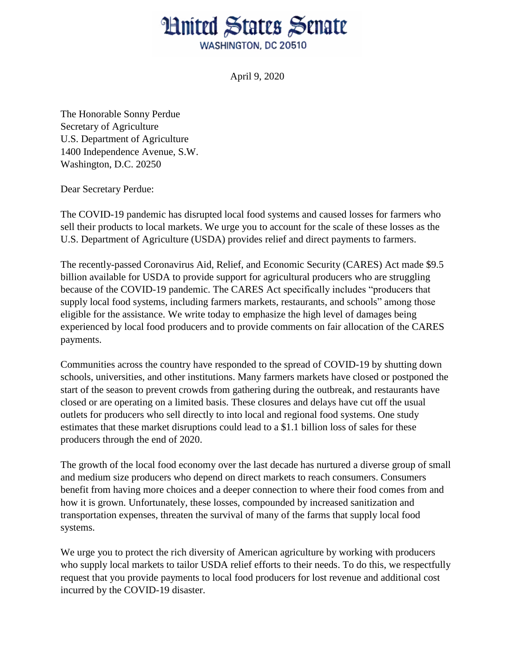## **Hnited States Senate** WASHINGTON, DC 20510

April 9, 2020

The Honorable Sonny Perdue Secretary of Agriculture U.S. Department of Agriculture 1400 Independence Avenue, S.W. Washington, D.C. 20250

Dear Secretary Perdue:

The COVID-19 pandemic has disrupted local food systems and caused losses for farmers who sell their products to local markets. We urge you to account for the scale of these losses as the U.S. Department of Agriculture (USDA) provides relief and direct payments to farmers.

The recently-passed Coronavirus Aid, Relief, and Economic Security (CARES) Act made \$9.5 billion available for USDA to provide support for agricultural producers who are struggling because of the COVID-19 pandemic. The CARES Act specifically includes "producers that supply local food systems, including farmers markets, restaurants, and schools" among those eligible for the assistance. We write today to emphasize the high level of damages being experienced by local food producers and to provide comments on fair allocation of the CARES payments.

Communities across the country have responded to the spread of COVID-19 by shutting down schools, universities, and other institutions. Many farmers markets have closed or postponed the start of the season to prevent crowds from gathering during the outbreak, and restaurants have closed or are operating on a limited basis. These closures and delays have cut off the usual outlets for producers who sell directly to into local and regional food systems. One study estimates that these market disruptions could lead to a \$1.1 billion loss of sales for these producers through the end of 2020.

The growth of the local food economy over the last decade has nurtured a diverse group of small and medium size producers who depend on direct markets to reach consumers. Consumers benefit from having more choices and a deeper connection to where their food comes from and how it is grown. Unfortunately, these losses, compounded by increased sanitization and transportation expenses, threaten the survival of many of the farms that supply local food systems.

We urge you to protect the rich diversity of American agriculture by working with producers who supply local markets to tailor USDA relief efforts to their needs. To do this, we respectfully request that you provide payments to local food producers for lost revenue and additional cost incurred by the COVID-19 disaster.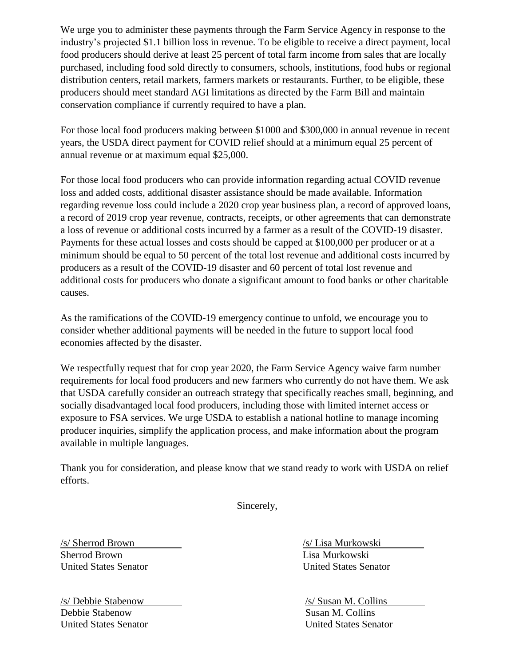We urge you to administer these payments through the Farm Service Agency in response to the industry's projected \$1.1 billion loss in revenue. To be eligible to receive a direct payment, local food producers should derive at least 25 percent of total farm income from sales that are locally purchased, including food sold directly to consumers, schools, institutions, food hubs or regional distribution centers, retail markets, farmers markets or restaurants. Further, to be eligible, these producers should meet standard AGI limitations as directed by the Farm Bill and maintain conservation compliance if currently required to have a plan.

For those local food producers making between \$1000 and \$300,000 in annual revenue in recent years, the USDA direct payment for COVID relief should at a minimum equal 25 percent of annual revenue or at maximum equal \$25,000.

For those local food producers who can provide information regarding actual COVID revenue loss and added costs, additional disaster assistance should be made available. Information regarding revenue loss could include a 2020 crop year business plan, a record of approved loans, a record of 2019 crop year revenue, contracts, receipts, or other agreements that can demonstrate a loss of revenue or additional costs incurred by a farmer as a result of the COVID-19 disaster. Payments for these actual losses and costs should be capped at \$100,000 per producer or at a minimum should be equal to 50 percent of the total lost revenue and additional costs incurred by producers as a result of the COVID-19 disaster and 60 percent of total lost revenue and additional costs for producers who donate a significant amount to food banks or other charitable causes.

As the ramifications of the COVID-19 emergency continue to unfold, we encourage you to consider whether additional payments will be needed in the future to support local food economies affected by the disaster.

We respectfully request that for crop year 2020, the Farm Service Agency waive farm number requirements for local food producers and new farmers who currently do not have them. We ask that USDA carefully consider an outreach strategy that specifically reaches small, beginning, and socially disadvantaged local food producers, including those with limited internet access or exposure to FSA services. We urge USDA to establish a national hotline to manage incoming producer inquiries, simplify the application process, and make information about the program available in multiple languages.

Thank you for consideration, and please know that we stand ready to work with USDA on relief efforts.

Sincerely,

Sherrod Brown Lisa Murkowski

/s/ Debbie Stabenow Debbie Stabenow United States Senator

/s/ Sherrod Brown /s/ Lisa Murkowski United States Senator United States Senator

> /s/ Susan M. Collins Susan M. Collins United States Senator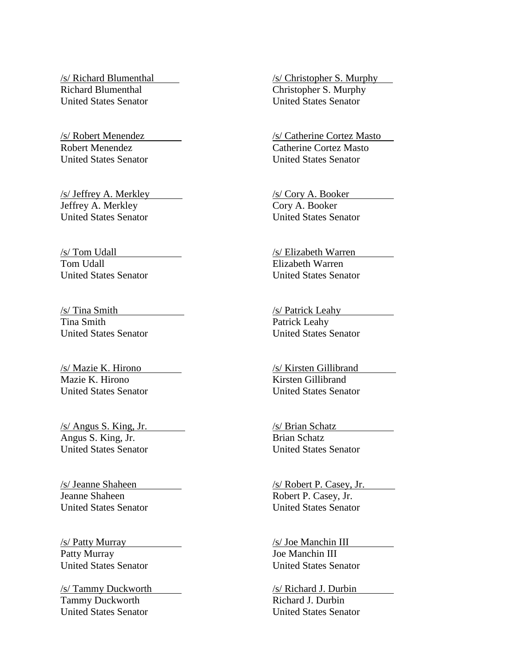/s/ Richard Blumenthal Richard Blumenthal United States Senator

/s/ Robert Menendez Robert Menendez United States Senator

/s/ Jeffrey A. Merkley Jeffrey A. Merkley United States Senator

/s/ Tom Udall Tom Udall United States Senator

/s/ Tina Smith Tina Smith United States Senator

/s/ Mazie K. Hirono Mazie K. Hirono United States Senator

/s/ Angus S. King, Jr. Angus S. King, Jr. United States Senator

/s/ Jeanne Shaheen Jeanne Shaheen United States Senator

/s/ Patty Murray Patty Murray United States Senator

/s/ Tammy Duckworth Tammy Duckworth United States Senator

/s/ Christopher S. Murphy Christopher S. Murphy United States Senator

/s/ Catherine Cortez Masto Catherine Cortez Masto United States Senator

/s/ Cory A. Booker Cory A. Booker United States Senator

/s/ Elizabeth Warren Elizabeth Warren United States Senator

/s/ Patrick Leahy Patrick Leahy United States Senator

/s/ Kirsten Gillibrand Kirsten Gillibrand United States Senator

/s/ Brian Schatz Brian Schatz United States Senator

/s/ Robert P. Casey, Jr. Robert P. Casey, Jr. United States Senator

/s/ Joe Manchin III Joe Manchin III United States Senator

/s/ Richard J. Durbin Richard J. Durbin United States Senator